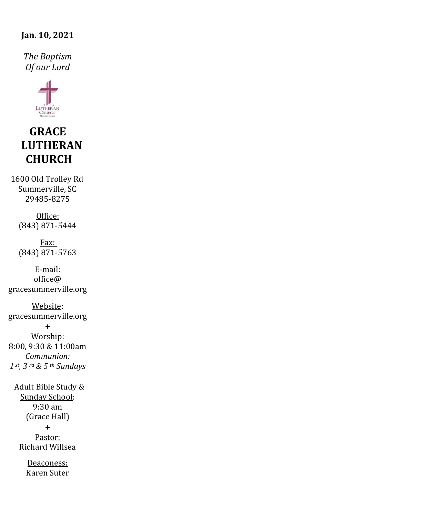#### **Jan. 10, 2021**

*The Baptism Of our Lord*



# **GRACE LUTHERAN CHURCH**

1600 Old Trolley Rd Summerville, SC 29485-8275

> Office: (843) 871-5444

> Fax: (843) 871-5763

E-mail:  $office@$ gracesummerville.org

Website: gracesummerville.org

**+** Worship: 8:00, 9:30 & 11:00am *Communion: 1 st, 3 rd & 5 th Sundays*

 Adult Bible Study & Sunday School: 9:30 am (Grace Hall) **+** Pastor: Richard Willsea

> Deaconess: Karen Suter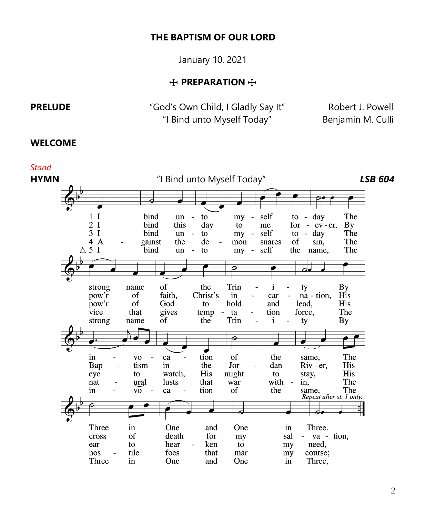#### **THE BAPTISM OF OUR LORD**

January 10, 2021

### $+$  **PREPARATION**  $+$

**PRELUDE** *"God's Own Child, I Gladly Say It"* Robert J. Powell "I Bind unto Myself Today" Benjamin M. Culli

#### **WELCOME**

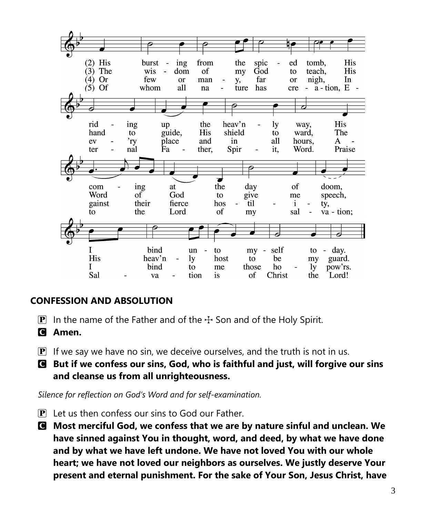

# **CONFESSION AND ABSOLUTION**

- **P** In the name of the Father and of the  $\pm$  Son and of the Holy Spirit.
- C **Amen.**
- $\mathbf{P}$  If we say we have no sin, we deceive ourselves, and the truth is not in us.
- C **But if we confess our sins, God, who is faithful and just, will forgive our sins and cleanse us from all unrighteousness.**

*Silence for reflection on God's Word and for self-examination.*

- $\mathbf{P}$  Let us then confess our sins to God our Father.
- C **Most merciful God, we confess that we are by nature sinful and unclean. We have sinned against You in thought, word, and deed, by what we have done and by what we have left undone. We have not loved You with our whole heart; we have not loved our neighbors as ourselves. We justly deserve Your present and eternal punishment. For the sake of Your Son, Jesus Christ, have**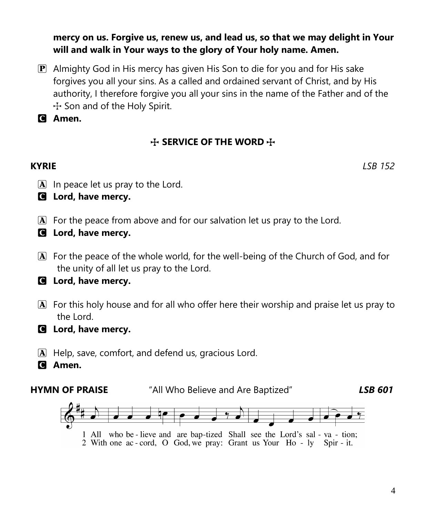**mercy on us. Forgive us, renew us, and lead us, so that we may delight in Your will and walk in Your ways to the glory of Your holy name. Amen.**

P Almighty God in His mercy has given His Son to die for you and for His sake forgives you all your sins. As a called and ordained servant of Christ, and by His authority, I therefore forgive you all your sins in the name of the Father and of the  $+$  Son and of the Holy Spirit.

C **Amen.**

# $+$  **SERVICE OF THE WORD**  $+$

**KYRIE** *LSB 152*

- $\boxed{\mathbf{A}}$  In peace let us pray to the Lord.
- C **Lord, have mercy.**
- A For the peace from above and for our salvation let us pray to the Lord.
- C **Lord, have mercy.**
- A For the peace of the whole world, for the well-being of the Church of God, and for the unity of all let us pray to the Lord.

# C **Lord, have mercy.**

- A For this holy house and for all who offer here their worship and praise let us pray to the Lord.
- C **Lord, have mercy.**
- A Help, save, comfort, and defend us, gracious Lord.
- C **Amen.**

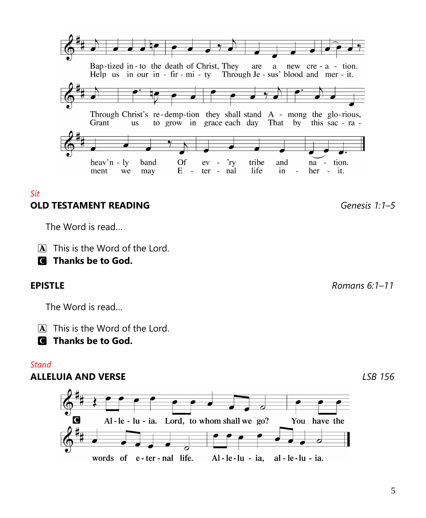## *Sit* **OLD TESTAMENT READING** *Genesis 1:1–5*

Grant

ment

heav'n -  $\ln$ 

we

The Word is read…

 $\overline{A}$  This is the Word of the Lord.

Bap-tized in-to the death of Christ, They

Help us in our in - fir -  $\text{mi}$  - ty

band

may

 $\Omega$ f

 $E$ 

 $\sim$ 

 $ev -$ 

ter  $\sim$ nal

'ry

**us** 

C **Thanks be to God.**

The Word is read…

A This is the Word of the Lord.

C **Thanks be to God.**

## *Stand*

# **ALLELUIA AND VERSE** *LSB 156*



**EPISTLE** *Romans 6:1–11*

tion.

Through Christ's re-demp-tion they shall stand A - mong the glo-rious, to grow in grace each day That by this sac - ra -

Through Je - sus' blood and mer - it.

and

in

 $\overline{a}$ 

new  $cre - a - tion$ .

na -

her - it.

are a

tribe

life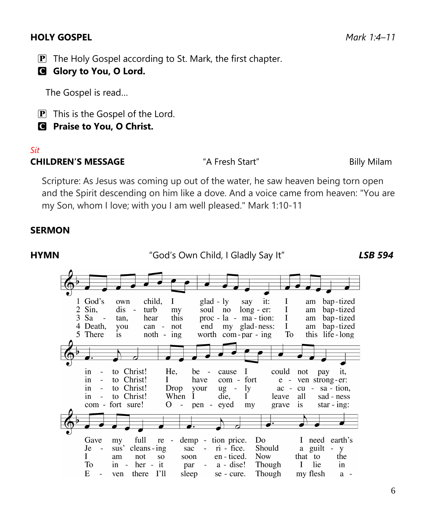### **HOLY GOSPEL** *Mark 1:4–11*

- $\mathbf{P}$  The Holy Gospel according to St. Mark, the first chapter.
- C **Glory to You, O Lord.**

The Gospel is read…

 $\mathbf{P}$  This is the Gospel of the Lord.

C **Praise to You, O Christ.**

### *Sit*

#### **CHILDREN'S MESSAGE** "A Fresh Start" Billy Milam

Scripture: As Jesus was coming up out of the water, he saw heaven being torn open and the Spirit descending on him like a dove. And a voice came from heaven: "You are my Son, whom I love; with you I am well pleased." Mark 1:10-11

### **SERMON**

**HYMN** "God's Own Child, I Gladly Say It"*LSB 594*1 God's own child,  $\mathbf I$  $glad - ly$ say it: I bap-tized am  $2$  Sin. dis  $\sim$ turb my soul no  $long - er:$ I am bap-tized 3 Sa hear this  $proc - la - ma - tion:$ I bap-tized tan. am 4 Death. you  $can$ not end my glad-ness: I am bap-tized 5 There is  $noth - ing$ worth  $com-par - ing$ To this life-long to Christ! He.  $be$ cause I could not in pay it,  $\overline{\phantom{a}}$ to Christ! com - fort ven strong-er: in Ι have  $e$ to Christ! Drop in your  $ug -$ 1y  $ac$  $cu - sa - tion$ , to Christ! in  $\overline{a}$ When Ĩ die, T leave all sad - ness com - fort sure! О  $\sim$ pen eyed my grave is star -  $in$ g: Gave full demp - tion price. Do I need earth's my  $re$ sus' cleans - ing  $ri$  - fice. Je sac  $\bar{\mathcal{L}}$ Should a guilt i. V L am not **SO** soon en - ticed. **Now** that to the To in - her - it par  $a - disc!$ Though L lie in E. ven there I'll sleep se - cure. Though my flesh  $\overline{a}$  $a -$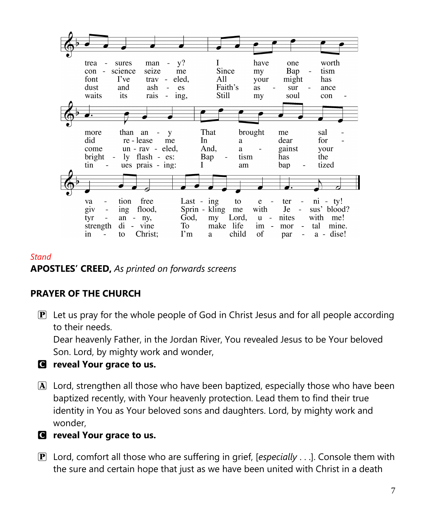| trea                            | sures      | man                | - y?<br>$\blacksquare$ |               | L         |       | have    | one                            |                                 | worth       |  |
|---------------------------------|------------|--------------------|------------------------|---------------|-----------|-------|---------|--------------------------------|---------------------------------|-------------|--|
| con                             | science    | seize              | me                     |               | Since     |       | my      | Bap                            | $\qquad \qquad -$               | tism        |  |
| font                            | I've       | trav -             | eled,                  |               | All       |       | your    | might                          |                                 | has         |  |
| dust                            | and        | ash                | es                     |               | Faith's   |       | as      | sur                            | $\overline{\phantom{a}}$        | ance        |  |
| waits                           | its        | rais               | $-$ ing,               |               | Still     |       | my      | soul                           |                                 | con         |  |
|                                 |            |                    |                        |               |           |       |         |                                |                                 |             |  |
|                                 |            |                    |                        |               |           |       |         |                                |                                 |             |  |
|                                 |            |                    |                        |               |           |       |         |                                |                                 |             |  |
| more                            | than       | an                 | y                      | That          |           |       | brought | me                             |                                 | sal         |  |
| did                             | re - lease | me                 |                        | In            |           | a     |         | dear                           |                                 | for         |  |
| come                            |            | $un - rav - eled,$ |                        | And,          |           | a     |         | gainst                         |                                 | your        |  |
| bright<br>$\sim$                |            | ly flash - es:     |                        | Bap           |           | tism  |         | has                            |                                 | the         |  |
| tin<br>$\sim$                   |            | ues prais - ing:   |                        | L             |           | am    |         | bap                            | $\overline{\phantom{a}}$        | tized       |  |
|                                 |            |                    |                        |               |           |       |         |                                |                                 |             |  |
|                                 |            |                    |                        |               |           |       |         | ,,                             |                                 |             |  |
|                                 |            |                    |                        |               |           |       |         |                                |                                 |             |  |
| va                              | tion       | free               |                        | Last - $ing$  |           | to    | e       | ter<br>$\sim$ $\sim$           |                                 | $ni - ty!$  |  |
| giv<br>$\overline{\phantom{a}}$ | ing        | flood,             |                        | Sprin - kling |           | me    | with    | Je<br>$\overline{\phantom{a}}$ |                                 | sus' blood? |  |
| tyr<br>$\overline{\phantom{a}}$ | an         | - ny,              | God,                   |               | my        | Lord, | $u -$   | nites                          | with                            | me!         |  |
| strength                        | di         | - vine             | To To                  |               | make life |       | $im -$  | mor                            | tal<br>$\overline{\phantom{a}}$ | mine.       |  |
| in<br>$\overline{\phantom{a}}$  | to         | Christ;            | $\Gamma$ m             | a a           |           | child | of      | par                            | $\sim$                          | a - dise!   |  |

#### *Stand*

**APOSTLES' CREED,** *As printed on forwards screens*

# **PRAYER OF THE CHURCH**

 $\mathbf{P}$  Let us pray for the whole people of God in Christ Jesus and for all people according to their needs.

Dear heavenly Father, in the Jordan River, You revealed Jesus to be Your beloved Son. Lord, by mighty work and wonder,

## C **reveal Your grace to us.**

A Lord, strengthen all those who have been baptized, especially those who have been baptized recently, with Your heavenly protection. Lead them to find their true identity in You as Your beloved sons and daughters. Lord, by mighty work and wonder,

## C **reveal Your grace to us.**

P Lord, comfort all those who are suffering in grief, [*especially* . . .]. Console them with the sure and certain hope that just as we have been united with Christ in a death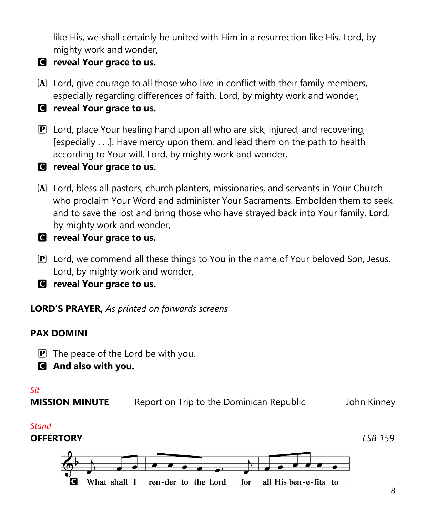like His, we shall certainly be united with Him in a resurrection like His. Lord, by mighty work and wonder,

- C **reveal Your grace to us.**
- A Lord, give courage to all those who live in conflict with their family members, especially regarding differences of faith. Lord, by mighty work and wonder,
- C **reveal Your grace to us.**
- $\mathbf{P}$  Lord, place Your healing hand upon all who are sick, injured, and recovering, [especially . . .]. Have mercy upon them, and lead them on the path to health according to Your will. Lord, by mighty work and wonder,
- C **reveal Your grace to us.**
- A Lord, bless all pastors, church planters, missionaries, and servants in Your Church who proclaim Your Word and administer Your Sacraments. Embolden them to seek and to save the lost and bring those who have strayed back into Your family. Lord, by mighty work and wonder,
- C **reveal Your grace to us.**
- $\mathbf{P}$  Lord, we commend all these things to You in the name of Your beloved Son, Jesus. Lord, by mighty work and wonder,
- C **reveal Your grace to us.**

**LORD'S PRAYER,** *As printed on forwards screens*

# **PAX DOMINI**

- $\mathbf{P}$  The peace of the Lord be with you.
- C **And also with you.**

### *Sit*

**MISSION MINUTE** Report on Trip to the Dominican Republic **Solut Follow** John Kinney

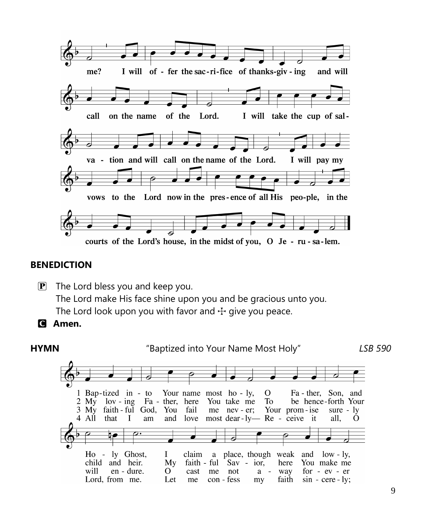

#### **BENEDICTION**

 $\mathbf{P}$  The Lord bless you and keep you. The Lord make His face shine upon you and be gracious unto you. The Lord look upon you with favor and  $\pm$  give you peace.

# C **Amen.**



9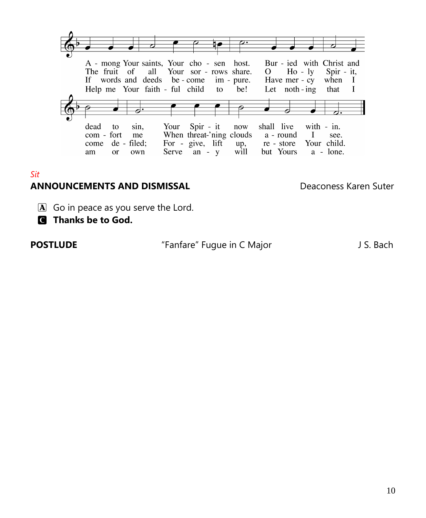

#### *Sit*

## **ANNOUNCEMENTS AND DISMISSAL** Deaconess Karen Suter

- $\boxed{\mathbf{A}}$  Go in peace as you serve the Lord.
- C **Thanks be to God.**

| POSTLUDE |  |
|----------|--|
|----------|--|

"Fanfare" Fugue in C Major J S. Bach